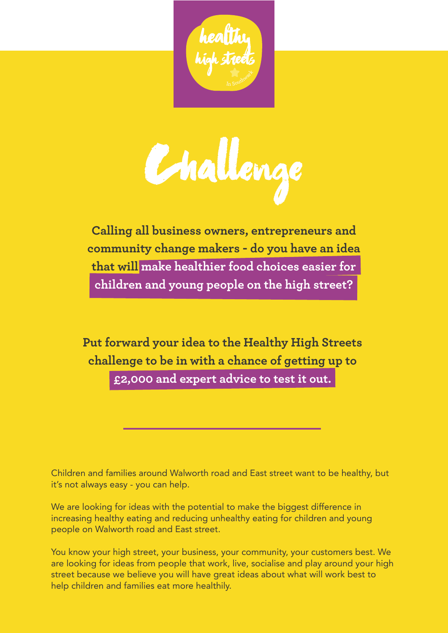



**Calling all business owners, entrepreneurs and community change makers - do you have an idea that will make healthier food choices easier for children and young people on the high street?**

**Put forward your idea to the Healthy High Streets challenge to be in with a chance of getting up to £2,000 and expert advice to test it out.**

Children and families around Walworth road and East street want to be healthy, but it's not always easy - you can help.

We are looking for ideas with the potential to make the biggest difference in increasing healthy eating and reducing unhealthy eating for children and young people on Walworth road and East street.

You know your high street, your business, your community, your customers best. We are looking for ideas from people that work, live, socialise and play around your high street because we believe you will have great ideas about what will work best to help children and families eat more healthily.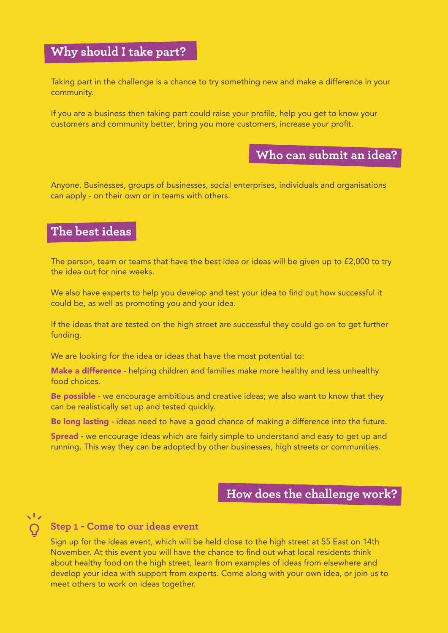# **Why should I take part?**

Taking part in the challenge is a chance to try something new and make a difference in your community.

If you are a business then taking part could raise your profile, help you get to know your customers and community better, bring you more customers, increase your profit.

# **Who can submit an idea?**

Anyone. Businesses, groups of businesses, social enterprises, individuals and organisations can apply - on their own or in teams with others.

# **The best ideas**

The person, team or teams that have the best idea or ideas will be given up to £2,000 to try the idea out for nine weeks.

We also have experts to help you develop and test your idea to find out how successful it could be, as well as promoting you and your idea.

If the ideas that are tested on the high street are successful they could go on to get further funding.

We are looking for the idea or ideas that have the most potential to:

**Make a difference** - helping children and families make more healthy and less unhealthy food choices.

Be possible - we encourage ambitious and creative ideas; we also want to know that they can be realistically set up and tested quickly.

Be long lasting - ideas need to have a good chance of making a difference into the future.

**Spread -** we encourage ideas which are fairly simple to understand and easy to get up and running. This way they can be adopted by other businesses, high streets or communities.

# **How does the challenge work?**

# $\sqrt{1}$

### **Step 1 - Come to our ideas event**

Sign up for the ideas event, which will be held close to the high street at 55 East on 14th November. At this event you will have the chance to find out what local residents think about healthy food on the high street, learn from examples of ideas from elsewhere and develop your idea with support from experts. Come along with your own idea, or join us to meet others to work on ideas together.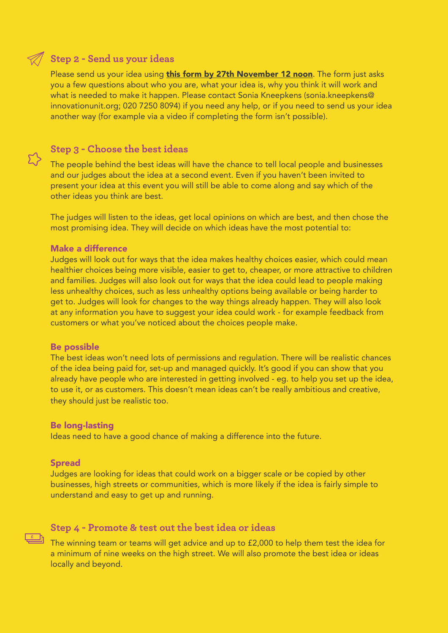## **Step 2 - Send us your ideas**

Please send us your idea using [this form by 27th November 12 noon](https://vickip.typeform.com/to/qaH6oa). The form just asks you a few questions about who you are, what your idea is, why you think it will work and what is needed to make it happen. Please contact Sonia Kneepkens (sonia.kneepkens@ innovationunit.org; 020 7250 8094) if you need any help, or if you need to send us your idea another way (for example via a video if completing the form isn't possible).

## **Step 3 - Choose the best ideas**

The people behind the best ideas will have the chance to tell local people and businesses and our judges about the idea at a second event. Even if you haven't been invited to present your idea at this event you will still be able to come along and say which of the other ideas you think are best.

The judges will listen to the ideas, get local opinions on which are best, and then chose the most promising idea. They will decide on which ideas have the most potential to:

#### Make a difference

Judges will look out for ways that the idea makes healthy choices easier, which could mean healthier choices being more visible, easier to get to, cheaper, or more attractive to children and families. Judges will also look out for ways that the idea could lead to people making less unhealthy choices, such as less unhealthy options being available or being harder to get to. Judges will look for changes to the way things already happen. They will also look at any information you have to suggest your idea could work - for example feedback from customers or what you've noticed about the choices people make.

#### Be possible

The best ideas won't need lots of permissions and regulation. There will be realistic chances of the idea being paid for, set-up and managed quickly. It's good if you can show that you already have people who are interested in getting involved - eg. to help you set up the idea, to use it, or as customers. This doesn't mean ideas can't be really ambitious and creative, they should just be realistic too.

#### Be long-lasting

Ideas need to have a good chance of making a difference into the future.

#### Spread

Judges are looking for ideas that could work on a bigger scale or be copied by other businesses, high streets or communities, which is more likely if the idea is fairly simple to understand and easy to get up and running.

#### **Step 4 - Promote & test out the best idea or ideas**

The winning team or teams will get advice and up to £2,000 to help them test the idea for **£**a minimum of nine weeks on the high street. We will also promote the best idea or ideas locally and beyond.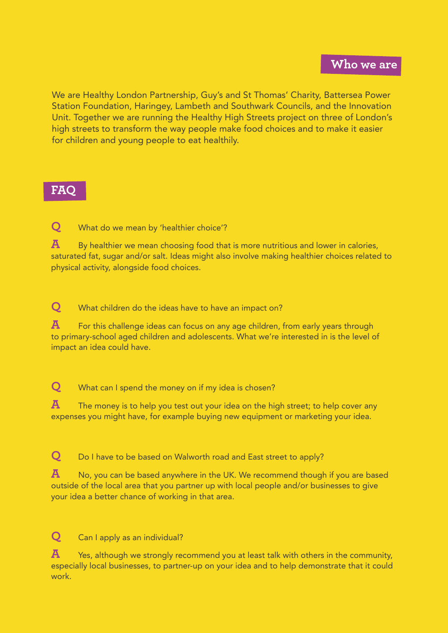## **Who we are**

We are Healthy London Partnership, Guy's and St Thomas' Charity, Battersea Power Station Foundation, Haringey, Lambeth and Southwark Councils, and the Innovation Unit. Together we are running the Healthy High Streets project on three of London's high streets to transform the way people make food choices and to make it easier for children and young people to eat healthily.

## **FAQ**

**Q** What do we mean by 'healthier choice'?

**A** By healthier we mean choosing food that is more nutritious and lower in calories, saturated fat, sugar and/or salt. Ideas might also involve making healthier choices related to physical activity, alongside food choices.

**Q** What children do the ideas have to have an impact on?

**A** For this challenge ideas can focus on any age children, from early years through to primary-school aged children and adolescents. What we're interested in is the level of impact an idea could have.

**Q** What can I spend the money on if my idea is chosen?

**A** The money is to help you test out your idea on the high street; to help cover any expenses you might have, for example buying new equipment or marketing your idea.

**Q** Do I have to be based on Walworth road and East street to apply?

**A** No, you can be based anywhere in the UK. We recommend though if you are based outside of the local area that you partner up with local people and/or businesses to give your idea a better chance of working in that area.

**Q** Can I apply as an individual?

**A** Yes, although we strongly recommend you at least talk with others in the community, especially local businesses, to partner-up on your idea and to help demonstrate that it could work.